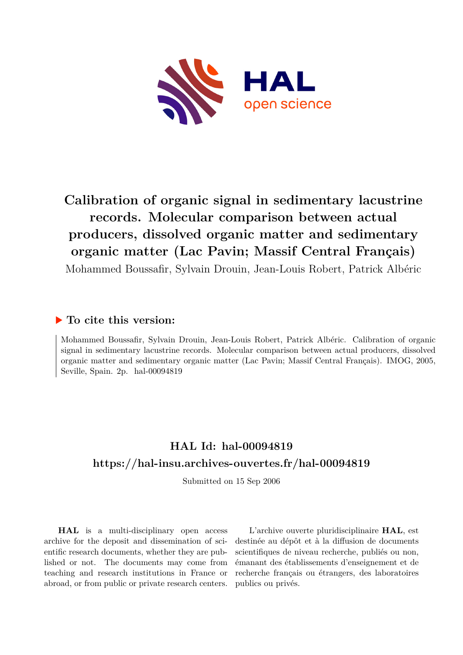

# **Calibration of organic signal in sedimentary lacustrine records. Molecular comparison between actual producers, dissolved organic matter and sedimentary organic matter (Lac Pavin; Massif Central Français)**

Mohammed Boussafir, Sylvain Drouin, Jean-Louis Robert, Patrick Albéric

#### **To cite this version:**

Mohammed Boussafir, Sylvain Drouin, Jean-Louis Robert, Patrick Albéric. Calibration of organic signal in sedimentary lacustrine records. Molecular comparison between actual producers, dissolved organic matter and sedimentary organic matter (Lac Pavin; Massif Central Français). IMOG, 2005, Seville, Spain.  $2p.$  hal-00094819

## **HAL Id: hal-00094819 <https://hal-insu.archives-ouvertes.fr/hal-00094819>**

Submitted on 15 Sep 2006

**HAL** is a multi-disciplinary open access archive for the deposit and dissemination of scientific research documents, whether they are published or not. The documents may come from teaching and research institutions in France or abroad, or from public or private research centers.

L'archive ouverte pluridisciplinaire **HAL**, est destinée au dépôt et à la diffusion de documents scientifiques de niveau recherche, publiés ou non, émanant des établissements d'enseignement et de recherche français ou étrangers, des laboratoires publics ou privés.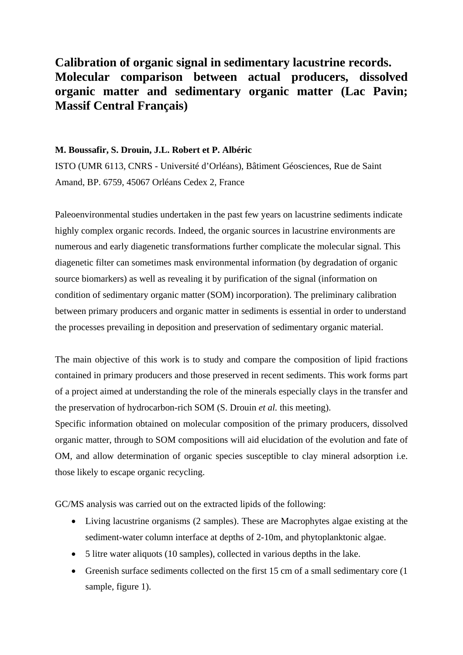### **Calibration of organic signal in sedimentary lacustrine records. Molecular comparison between actual producers, dissolved organic matter and sedimentary organic matter (Lac Pavin; Massif Central Français)**

#### **M. Boussafir, S. Drouin, J.L. Robert et P. Albéric**

ISTO (UMR 6113, CNRS - Université d'Orléans), Bâtiment Géosciences, Rue de Saint Amand, BP. 6759, 45067 Orléans Cedex 2, France

Paleoenvironmental studies undertaken in the past few years on lacustrine sediments indicate highly complex organic records. Indeed, the organic sources in lacustrine environments are numerous and early diagenetic transformations further complicate the molecular signal. This diagenetic filter can sometimes mask environmental information (by degradation of organic source biomarkers) as well as revealing it by purification of the signal (information on condition of sedimentary organic matter (SOM) incorporation). The preliminary calibration between primary producers and organic matter in sediments is essential in order to understand the processes prevailing in deposition and preservation of sedimentary organic material.

The main objective of this work is to study and compare the composition of lipid fractions contained in primary producers and those preserved in recent sediments. This work forms part of a project aimed at understanding the role of the minerals especially clays in the transfer and the preservation of hydrocarbon-rich SOM (S. Drouin *et al.* this meeting).

Specific information obtained on molecular composition of the primary producers, dissolved organic matter, through to SOM compositions will aid elucidation of the evolution and fate of OM, and allow determination of organic species susceptible to clay mineral adsorption i.e. those likely to escape organic recycling.

GC/MS analysis was carried out on the extracted lipids of the following:

- Living lacustrine organisms (2 samples). These are Macrophytes algae existing at the sediment-water column interface at depths of 2-10m, and phytoplanktonic algae.
- 5 litre water aliquots (10 samples), collected in various depths in the lake.
- Greenish surface sediments collected on the first 15 cm of a small sedimentary core (1) sample, figure 1).